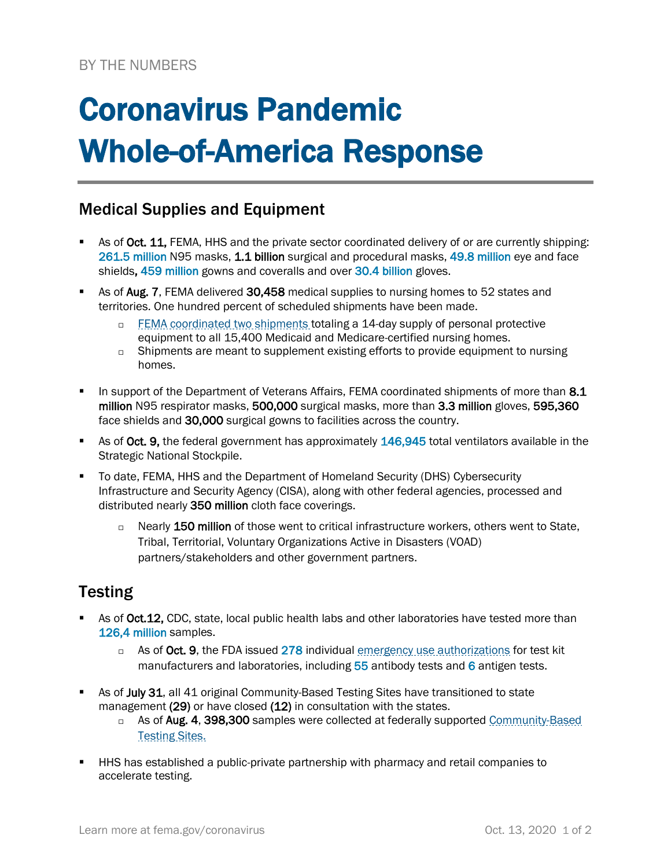# Coronavirus Pandemic Whole-of-America Response

### Medical Supplies and Equipment

- As of Oct. 11, FEMA, HHS and the private sector coordinated delivery of or are currently shipping: 261.5 million N95 masks, 1.1 billion surgical and procedural masks, 49.8 million eye and face shields, 459 million gowns and coveralls and over 30.4 billion gloves.
- As of Aug. 7, FEMA delivered 30.458 medical supplies to nursing homes to 52 states and territories. One hundred percent of scheduled shipments have been made.
	- $\Box$  [FEMA coordinated](https://www.fema.gov/news-release/2020/04/30/personal-protective-equipment-medicare-and-medicaid-nursing-homes) two shipments totaling a 14-day supply of personal protective equipment to all 15,400 Medicaid and Medicare-certified nursing homes.
	- $\Box$  Shipments are meant to supplement existing efforts to provide equipment to nursing homes.
- In support of the Department of Veterans Affairs, FEMA coordinated shipments of more than 8.1 million N95 respirator masks, 500,000 surgical masks, more than 3.3 million gloves, 595,360 face shields and 30,000 surgical gowns to facilities across the country.
- As of Oct. 9, the federal government has approximately 146,945 total ventilators available in the Strategic National Stockpile.
- To date, FEMA, HHS and the Department of Homeland Security (DHS) Cybersecurity Infrastructure and Security Agency (CISA), along with other federal agencies, processed and distributed nearly 350 million cloth face coverings.
	- $\Box$  Nearly 150 million of those went to critical infrastructure workers, others went to State, Tribal, Territorial, Voluntary Organizations Active in Disasters (VOAD) partners/stakeholders and other government partners.

## **Testing**

- As of Oct.12, CDC, state, local public health labs and other laboratories have tested more than 126,4 million samples.
	- □ As of Oct. 9, the FDA issued 278 individual [emergency use authorizations](https://www.fda.gov/medical-devices/emergency-situations-medical-devices/emergency-use-authorizations) for test kit manufacturers and laboratories, including  $55$  antibody tests and 6 antigen tests.
- As of July 31, all 41 original Community-Based Testing Sites have transitioned to state management (29) or have closed (12) in consultation with the states.
	- □ As of Aug. 4, 398,300 samples were collected at federally supported Community-Based [Testing Sites.](https://www.hhs.gov/coronavirus/community-based-testing-sites/index.html)
- HHS has established a public-private partnership with pharmacy and retail companies to accelerate testing.